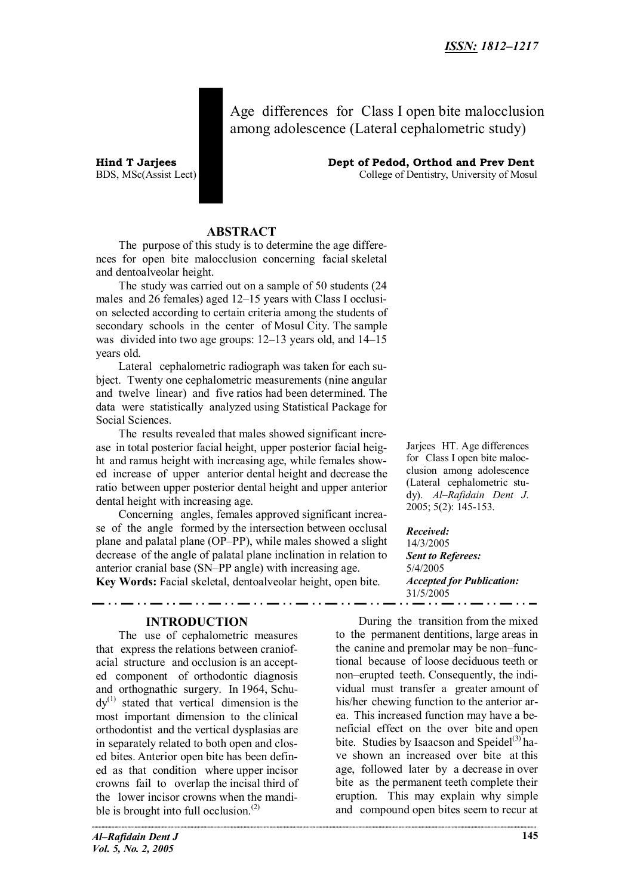**Hind T Jarjees Dept of Pedod, Orthod and Prev Dent** BDS, MSc(Assist Lect) College of Dentistry, University of Mosul

Age differences for Class I open bite malocclusion among adolescence (Lateral cephalometric study)

**ABSTRACT**

The purpose of this study is to determine the age differences for open bite malocclusion concerning facial skeletal and dentoalveolar height.

The study was carried out on a sample of 50 students (24 males and 26 females) aged 12–15 years with Class I occlusion selected according to certain criteria among the students of secondary schools in the center of Mosul City. The sample was divided into two age groups: 12–13 years old, and 14–15 years old.

Lateral cephalometric radiograph was taken for each subject. Twenty one cephalometric measurements (nine angular and twelve linear) and five ratios had been determined. The data were statistically analyzed using Statistical Package for Social Sciences.

The results revealed that males showed significant increase in total posterior facial height, upper posterior facial height and ramus height with increasing age, while females showed increase of upper anterior dental height and decrease the ratio between upper posterior dental height and upper anterior dental height with increasing age.

Concerning angles, females approved significant increase of the angle formed by the intersection between occlusal plane and palatal plane (OP–PP), while males showed a slight decrease of the angle of palatal plane inclination in relation to anterior cranial base (SN–PP angle) with increasing age.

**Key Words:** Facial skeletal, dentoalveolar height, open bite.

#### **INTRODUCTION**

The use of cephalometric measures that express the relations between craniofacial structure and occlusion is an accepted component of orthodontic diagnosis and orthognathic surgery. In 1964, Schu $dy^{(1)}$  stated that vertical dimension is the most important dimension to the clinical orthodontist and the vertical dysplasias are in separately related to both open and closed bites. Anterior open bite has been defined as that condition where upper incisor crowns fail to overlap the incisal third of the lower incisor crowns when the mandible is brought into full occlusion. $(2)$ 

Jarjees HT. Age differences for Class I open bite malocclusion among adolescence (Lateral cephalometric study). *Al–Rafidain Dent J*. 2005; 5(2): 145-153.

*Received:*

14/3/2005 *Sent to Referees:* 5/4/2005 *Accepted for Publication:* 31/5/2005

During the transition from the mixed to the permanent dentitions, large areas in the canine and premolar may be non–functional because of loose deciduous teeth or non–erupted teeth. Consequently, the individual must transfer a greater amount of his/her chewing function to the anterior area. This increased function may have a beneficial effect on the over bite and open bite. Studies by Isaacson and Speidel $^{(3)}$  have shown an increased over bite at this age, followed later by a decrease in over bite as the permanent teeth complete their eruption. This may explain why simple and compound open bites seem to recur at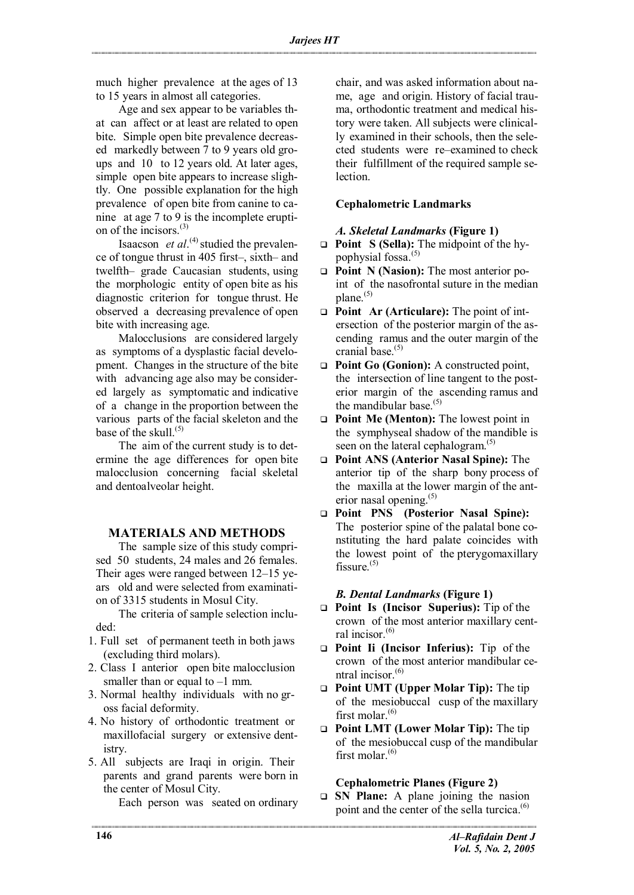much higher prevalence at the ages of 13 to 15 years in almost all categories.

Age and sex appear to be variables that can affect or at least are related to open bite. Simple open bite prevalence decreased markedly between 7 to 9 years old groups and 10 to 12 years old. At later ages, simple open bite appears to increase slightly. One possible explanation for the high prevalence of open bite from canine to canine at age 7 to 9 is the incomplete eruption of the incisors. $^{(3)}$ 

Isaacson *et al*.<sup>(4)</sup> studied the prevalence of tongue thrust in 405 first–, sixth– and twelfth– grade Caucasian students, using the morphologic entity of open bite as his diagnostic criterion for tongue thrust. He observed a decreasing prevalence of open bite with increasing age.

Malocclusions are considered largely as symptoms of a dysplastic facial development. Changes in the structure of the bite with advancing age also may be considered largely as symptomatic and indicative of a change in the proportion between the various parts of the facial skeleton and the base of the skull $(5)$ 

The aim of the current study is to determine the age differences for open bite malocclusion concerning facial skeletal and dentoalveolar height.

## **MATERIALS AND METHODS**

The sample size of this study comprised 50 students, 24 males and 26 females. Their ages were ranged between 12–15 years old and were selected from examination of 3315 students in Mosul City.

The criteria of sample selection included:

- 1. Full set of permanent teeth in both jaws (excluding third molars).
- 2. Class I anterior open bite malocclusion smaller than or equal to  $-1$  mm.
- 3. Normal healthy individuals with no gross facial deformity.
- 4. No history of orthodontic treatment or maxillofacial surgery or extensive dentistry.
- 5. All subjects are Iraqi in origin. Their parents and grand parents were born in the center of Mosul City.

Each person was seated on ordinary

chair, and was asked information about name, age and origin. History of facial trauma, orthodontic treatment and medical history were taken. All subjects were clinically examined in their schools, then the selected students were re–examined to check their fulfillment of the required sample se**lection** 

### **Cephalometric Landmarks**

### *A. Skeletal Landmarks* **(Figure 1)**

- $\Box$  **Point S** (Sella): The midpoint of the hypophysial fossa.<sup>(5)</sup>
- q **Point N (Nasion):** The most anterior point of the nasofrontal suture in the median  $plane.$ <sup>(5)</sup>
- q **Point Ar (Articulare):** The point of intersection of the posterior margin of the ascending ramus and the outer margin of the cranial base.<sup>(5)</sup>
- q **Point Go (Gonion):** A constructed point, the intersection of line tangent to the posterior margin of the ascending ramus and the mandibular base.<sup>(5)</sup>
- q **Point Me (Menton):** The lowest point in the symphyseal shadow of the mandible is seen on the lateral cephalogram.<sup>(5)</sup>
- q **Point ANS (Anterior Nasal Spine):** The anterior tip of the sharp bony process of the maxilla at the lower margin of the anterior nasal opening. $(5)$
- q **Point PNS (Posterior Nasal Spine):** The posterior spine of the palatal bone constituting the hard palate coincides with the lowest point of the pterygomaxillary fissure.<sup>(5)</sup>

### *B. Dental Landmarks* **(Figure 1)**

- q **Point Is (Incisor Superius):** Tip of the crown of the most anterior maxillary central incisor.<sup>(6)</sup>
- q **Point Ii (Incisor Inferius):** Tip of the crown of the most anterior mandibular central incisor $^{(6)}$
- q **Point UMT (Upper Molar Tip):** The tip of the mesiobuccal cusp of the maxillary first molar. $(6)$
- q **Point LMT (Lower Molar Tip):** The tip of the mesiobuccal cusp of the mandibular first molar $(6)$

### **Cephalometric Planes (Figure 2)**

q **SN Plane:** A plane joining the nasion point and the center of the sella turcica.<sup>(6)</sup>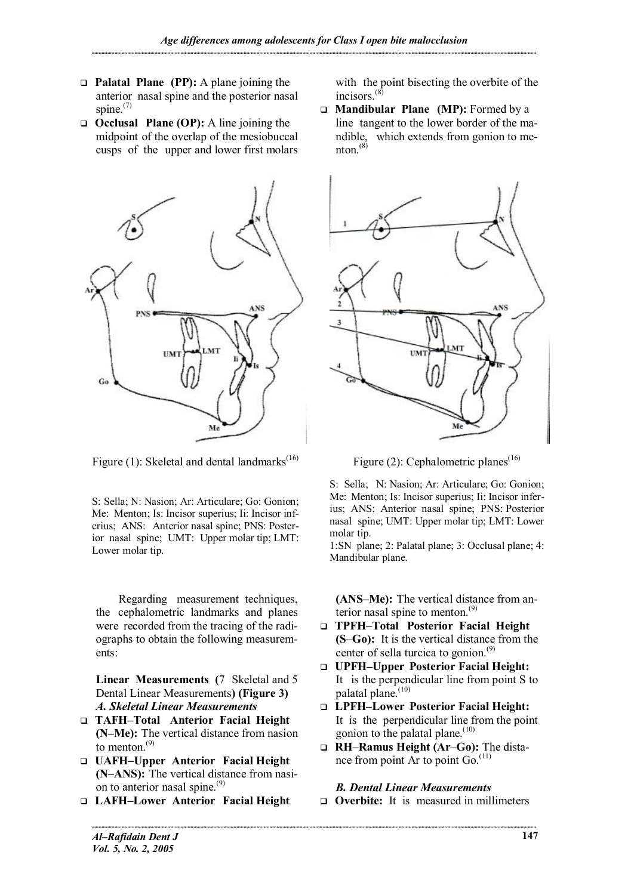- q **Palatal Plane (PP):** A plane joining the anterior nasal spine and the posterior nasal spine.<sup>(7)</sup>
- q **Occlusal Plane (OP):** A line joining the midpoint of the overlap of the mesiobuccal cusps of the upper and lower first molars



Figure (1): Skeletal and dental landmarks $^{(16)}$ 

S: Sella; N: Nasion; Ar: Articulare; Go: Gonion; Me: Menton; Is: Incisor superius; Ii: Incisor inferius; ANS: Anterior nasal spine; PNS: Posterior nasal spine; UMT: Upper molar tip; LMT: Lower molar tip.

Regarding measurement techniques, the cephalometric landmarks and planes were recorded from the tracing of the radiographs to obtain the following measurements:

**Linear Measurements (**7 Skeletal and 5 Dental Linear Measurements**) (Figure 3)** *A. Skeletal Linear Measurements*

- q **TAFH–Total Anterior Facial Height (N–Me):** The vertical distance from nasion to menton. $(9)$
- q **UAFH–Upper Anterior Facial Height (N–ANS):** The vertical distance from nasion to anterior nasal spine. $(9)$
- q **LAFH–Lower Anterior Facial Height**

with the point bisecting the overbite of the incisors.<sup>(8</sup>)

q **Mandibular Plane (MP):** Formed by a line tangent to the lower border of the mandible, which extends from gonion to menton. $^{(8)}$ 



Figure (2): Cephalometric planes<sup>(16)</sup>

S: Sella; N: Nasion; Ar: Articulare; Go: Gonion; Me: Menton; Is: Incisor superius; Ii: Incisor inferius; ANS: Anterior nasal spine; PNS: Posterior nasal spine; UMT: Upper molar tip; LMT: Lower molar tip.

1:SN plane; 2: Palatal plane; 3: Occlusal plane; 4: Mandibular plane.

**(ANS–Me):** The vertical distance from anterior nasal spine to menton. $(9)$ 

- q **TPFH–Total Posterior Facial Height (S–Go):** It is the vertical distance from the center of sella turcica to gonion. $(9)$
- q **UPFH–Upper Posterior Facial Height:** It is the perpendicular line from point S to palatal plane.<sup>(10)</sup>
- q **LPFH–Lower Posterior Facial Height:** It is the perpendicular line from the point gonion to the palatal plane.<sup>(10)</sup>
- q **RH–Ramus Height (Ar–Go):** The distance from point Ar to point Go.<sup>(11)</sup>

*B. Dental Linear Measurements*

**Q Overbite:** It is measured in millimeters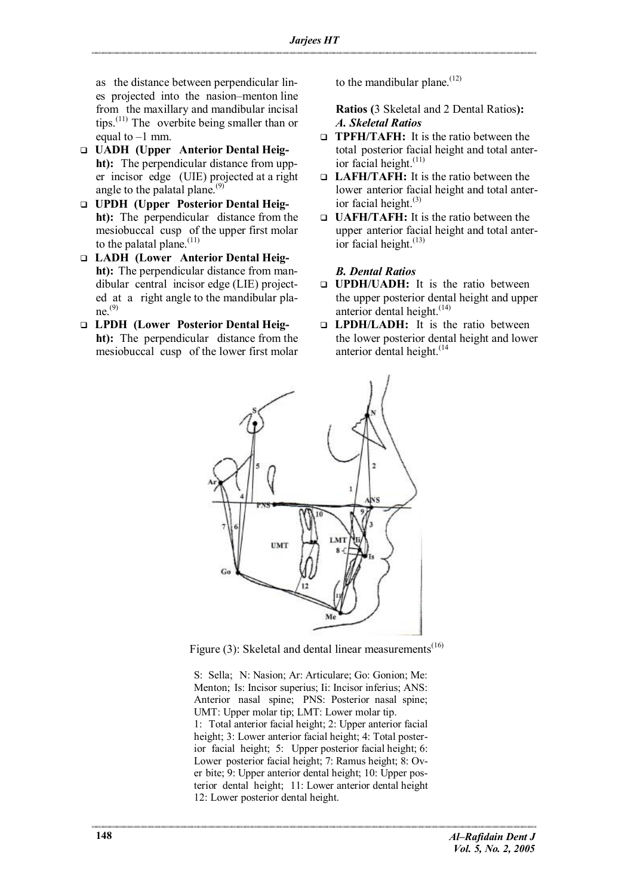as the distance between perpendicular lines projected into the nasion–menton line from the maxillary and mandibular incisal tips.(11) The overbite being smaller than or equal to  $-1$  mm.

- q **UADH (Upper Anterior Dental Height):** The perpendicular distance from upper incisor edge (UIE) projected at a right angle to the palatal plane.<sup>(9)</sup>
- q **UPDH (Upper Posterior Dental Height):** The perpendicular distance from the mesiobuccal cusp of the upper first molar to the palatal plane. $(11)$
- q **LADH (Lower Anterior Dental Height):** The perpendicular distance from mandibular central incisor edge (LIE) projected at a right angle to the mandibular pla $ne^{(9)}$
- q **LPDH (Lower Posterior Dental Height):** The perpendicular distance from the mesiobuccal cusp of the lower first molar

to the mandibular plane.<sup> $(12)$ </sup>

**Ratios (**3 Skeletal and 2 Dental Ratios**):** *A. Skeletal Ratios*

- **TPFH/TAFH:** It is the ratio between the total posterior facial height and total anterior facial height. $(11)$
- **LAFH/TAFH:** It is the ratio between the lower anterior facial height and total anterior facial height. $(3)$
- q **UAFH/TAFH:** It is the ratio between the upper anterior facial height and total anterior facial height.<sup>(13)</sup>

### *B. Dental Ratios*

- q **UPDH/UADH:** It is the ratio between the upper posterior dental height and upper anterior dental height.<sup>(14)</sup>
- q **LPDH/LADH:** It is the ratio between the lower posterior dental height and lower anterior dental height.<sup>(14</sup>)



Figure (3): Skeletal and dental linear measurements<sup> $(16)$ </sup>

S: Sella; N: Nasion; Ar: Articulare; Go: Gonion; Me: Menton; Is: Incisor superius; Ii: Incisor inferius; ANS: Anterior nasal spine; PNS: Posterior nasal spine; UMT: Upper molar tip; LMT: Lower molar tip. 1: Total anterior facial height; 2: Upper anterior facial height; 3: Lower anterior facial height; 4: Total posterior facial height; 5: Upper posterior facial height; 6: Lower posterior facial height; 7: Ramus height; 8: Over bite; 9: Upper anterior dental height; 10: Upper posterior dental height; 11: Lower anterior dental height 12: Lower posterior dental height.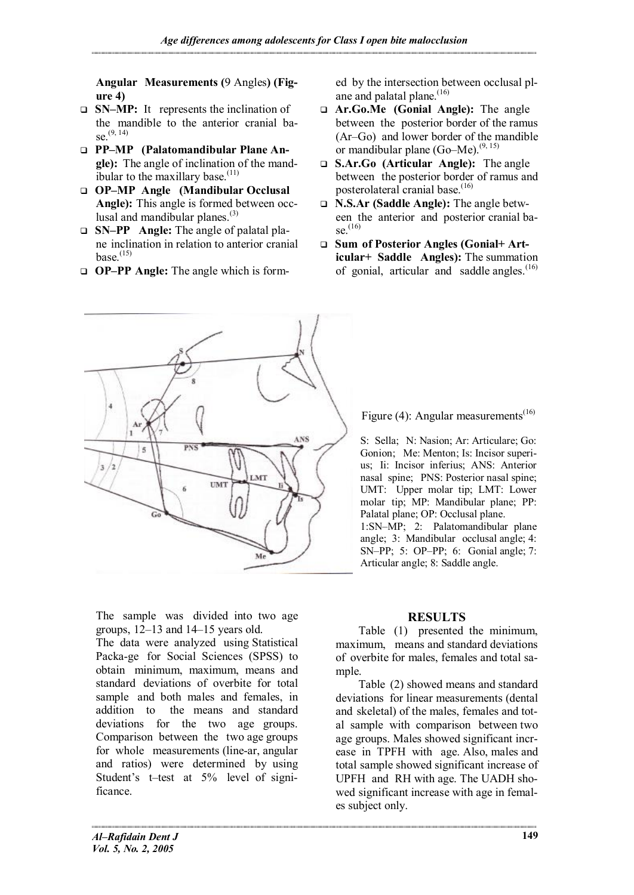**Angular Measurements (**9 Angles**) (Figure 4)**

- q **SN–MP:** It represents the inclination of the mandible to the anterior cranial base.  $(9, 14)$
- q **PP–MP (Palatomandibular Plane Angle):** The angle of inclination of the mandibular to the maxillary base. $(11)$
- q **OP–MP Angle (Mandibular Occlusal Angle):** This angle is formed between occlusal and mandibular planes. $(3)$
- q **SN–PP Angle:** The angle of palatal plane inclination in relation to anterior cranial base. $^{(15)}$
- q **OP–PP Angle:** The angle which is form-

ed by the intersection between occlusal plane and palatal plane. $(16)$ 

- q **Ar.Go.Me (Gonial Angle):** The angle between the posterior border of the ramus (Ar–Go) and lower border of the mandible or mandibular plane  $(Go-Me)$ .<sup> $(9, 15)$ </sup>
- q **S.Ar.Go (Articular Angle):** The angle between the posterior border of ramus and posterolateral cranial base.<sup>(16)</sup>
- q **N.S.Ar (Saddle Angle):** The angle between the anterior and posterior cranial ba $se^{(16)}$
- q **Sum of Posterior Angles (Gonial+ Articular+ Saddle Angles):** The summation of gonial, articular and saddle angles. $(16)$



The sample was divided into two age groups, 12–13 and 14–15 years old. The data were analyzed using Statistical Packa-ge for Social Sciences (SPSS) to obtain minimum, maximum, means and standard deviations of overbite for total sample and both males and females, in addition to the means and standard deviations for the two age groups. Comparison between the two age groups for whole measurements (line-ar, angular and ratios) were determined by using Student's t–test at 5% level of significance.

Figure (4): Angular measurements<sup>(16)</sup>

S: Sella; N: Nasion; Ar: Articulare; Go: Gonion; Me: Menton; Is: Incisor superius; Ii: Incisor inferius; ANS: Anterior nasal spine; PNS: Posterior nasal spine; UMT: Upper molar tip; LMT: Lower molar tip; MP: Mandibular plane; PP: Palatal plane; OP: Occlusal plane. 1:SN–MP; 2: Palatomandibular plane angle; 3: Mandibular occlusal angle; 4: SN–PP; 5: OP–PP; 6: Gonial angle; 7: Articular angle; 8: Saddle angle.

# **RESULTS**

Table (1) presented the minimum, maximum, means and standard deviations of overbite for males, females and total sample.

Table (2) showed means and standard deviations for linear measurements (dental and skeletal) of the males, females and total sample with comparison between two age groups. Males showed significant increase in TPFH with age. Also, males and total sample showed significant increase of UPFH and RH with age. The UADH showed significant increase with age in females subject only.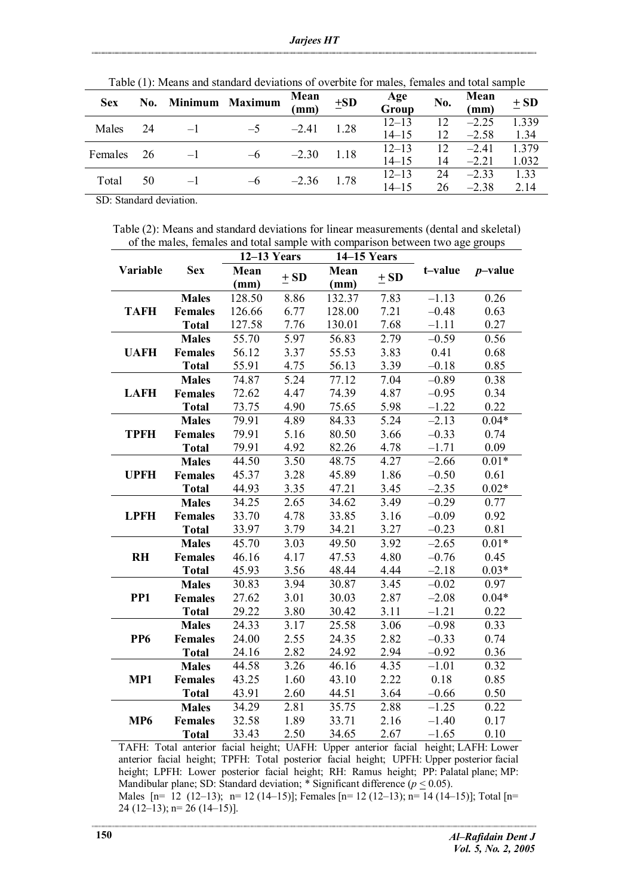| Twore (1), integrity with burntage Geventholds of 04 or 010 metro, females with tour sumple |     |                 |      |              |          |              |     |              |          |
|---------------------------------------------------------------------------------------------|-----|-----------------|------|--------------|----------|--------------|-----|--------------|----------|
| <b>Sex</b>                                                                                  | No. | Minimum Maximum |      | Mean<br>(mm) | $\pm SD$ | Age<br>Group | No. | Mean<br>(mm) | $\pm$ SD |
| Males                                                                                       | 24  | $-1$            | $-5$ | $-2.41$      | 1.28     | $12 - 13$    | 12  | $-2.25$      | 1.339    |
|                                                                                             |     |                 |      |              |          | $14 - 15$    | 12  | $-2.58$      | 1.34     |
| Females                                                                                     | 26  | $-1$            | $-6$ | $-2.30$      | 1.18     | $12 - 13$    | 12  | $-241$       | 1 379    |
|                                                                                             |     |                 |      |              |          | $14 - 15$    | 14  | $-2.21$      | 1.032    |
| Total                                                                                       | 50  | $-1$            | $-6$ | $-2.36$      | 1.78     | $12 - 13$    | 24  | $-233$       | 1.33     |
|                                                                                             |     |                 |      |              |          | $14 - 15$    | 26  | $-2.38$      | 2.14     |

Table (1): Means and standard deviations of overbite for males, females and total sample

SD: Standard deviation.

Table (2): Means and standard deviations for linear measurements (dental and skeletal) of the males, females and total sample with comparison between two age groups

|                 | <b>Sex</b>     | $12-13$ Years |          | 14-15 Years |          |         |            |
|-----------------|----------------|---------------|----------|-------------|----------|---------|------------|
| Variable        |                | Mean          |          | Mean        |          | t-value | $p$ -value |
|                 |                | (mm)          | $\pm$ SD | (mm)        | $\pm$ SD |         |            |
|                 | <b>Males</b>   | 128.50        | 8.86     | 132.37      | 7.83     | $-1.13$ | 0.26       |
| <b>TAFH</b>     | <b>Females</b> | 126.66        | 6.77     | 128.00      | 7.21     | $-0.48$ | 0.63       |
|                 | <b>Total</b>   | 127.58        | 7.76     | 130.01      | 7.68     | $-1.11$ | 0.27       |
|                 | <b>Males</b>   | 55.70         | 5.97     | 56.83       | 2.79     | $-0.59$ | 0.56       |
| <b>UAFH</b>     | <b>Females</b> | 56.12         | 3.37     | 55.53       | 3.83     | 0.41    | 0.68       |
|                 | <b>Total</b>   | 55.91         | 4.75     | 56.13       | 3.39     | $-0.18$ | 0.85       |
|                 | <b>Males</b>   | 74.87         | 5.24     | 77.12       | 7.04     | $-0.89$ | 0.38       |
| <b>LAFH</b>     | <b>Females</b> | 72.62         | 4.47     | 74.39       | 4.87     | $-0.95$ | 0.34       |
|                 | <b>Total</b>   | 73.75         | 4.90     | 75.65       | 5.98     | $-1.22$ | 0.22       |
|                 | <b>Males</b>   | 79.91         | 4.89     | 84.33       | 5.24     | $-2.13$ | $0.04*$    |
| <b>TPFH</b>     | <b>Females</b> | 79.91         | 5.16     | 80.50       | 3.66     | $-0.33$ | 0.74       |
|                 | <b>Total</b>   | 79.91         | 4.92     | 82.26       | 4.78     | $-1.71$ | 0.09       |
|                 | <b>Males</b>   | 44.50         | 3.50     | 48.75       | 4.27     | $-2.66$ | $0.01*$    |
| <b>UPFH</b>     | <b>Females</b> | 45.37         | 3.28     | 45.89       | 1.86     | $-0.50$ | 0.61       |
|                 | <b>Total</b>   | 44.93         | 3.35     | 47.21       | 3.45     | $-2.35$ | $0.02*$    |
|                 | <b>Males</b>   | 34.25         | 2.65     | 34.62       | 3.49     | $-0.29$ | 0.77       |
| <b>LPFH</b>     | <b>Females</b> | 33.70         | 4.78     | 33.85       | 3.16     | $-0.09$ | 0.92       |
|                 | <b>Total</b>   | 33.97         | 3.79     | 34.21       | 3.27     | $-0.23$ | 0.81       |
|                 | <b>Males</b>   | 45.70         | 3.03     | 49.50       | 3.92     | $-2.65$ | $0.01*$    |
| <b>RH</b>       | <b>Females</b> | 46.16         | 4.17     | 47.53       | 4.80     | $-0.76$ | 0.45       |
|                 | <b>Total</b>   | 45.93         | 3.56     | 48.44       | 4.44     | $-2.18$ | $0.03*$    |
|                 | <b>Males</b>   | 30.83         | 3.94     | 30.87       | 3.45     | $-0.02$ | 0.97       |
| PP <sub>1</sub> | <b>Females</b> | 27.62         | 3.01     | 30.03       | 2.87     | $-2.08$ | $0.04*$    |
|                 | <b>Total</b>   | 29.22         | 3.80     | 30.42       | 3.11     | $-1.21$ | 0.22       |
|                 | <b>Males</b>   | 24.33         | 3.17     | 25.58       | 3.06     | $-0.98$ | 0.33       |
| PP <sub>6</sub> | <b>Females</b> | 24.00         | 2.55     | 24.35       | 2.82     | $-0.33$ | 0.74       |
|                 | <b>Total</b>   | 24.16         | 2.82     | 24.92       | 2.94     | $-0.92$ | 0.36       |
|                 | <b>Males</b>   | 44.58         | 3.26     | 46.16       | 4.35     | $-1.01$ | 0.32       |
| MP1             | <b>Females</b> | 43.25         | 1.60     | 43.10       | 2.22     | 0.18    | 0.85       |
|                 | <b>Total</b>   | 43.91         | 2.60     | 44.51       | 3.64     | $-0.66$ | 0.50       |
|                 | <b>Males</b>   | 34.29         | 2.81     | 35.75       | 2.88     | $-1.25$ | 0.22       |
| MP <sub>6</sub> | <b>Females</b> | 32.58         | 1.89     | 33.71       | 2.16     | $-1.40$ | 0.17       |
|                 | <b>Total</b>   | 33.43         | 2.50     | 34.65       | 2.67     | $-1.65$ | 0.10       |

TAFH: Total anterior facial height; UAFH: Upper anterior facial height; LAFH: Lower anterior facial height; TPFH: Total posterior facial height; UPFH: Upper posterior facial height; LPFH: Lower posterior facial height; RH: Ramus height; PP: Palatal plane; MP: Mandibular plane; SD: Standard deviation; \* Significant difference ( $p \le 0.05$ ). Males  $[n= 12 (12-13); n= 12 (14-15)]$ ; Females  $[n= 12 (12-13); n= 14 (14-15)]$ ; Total  $[n=$ 24 (12–13); n= 26 (14–15)].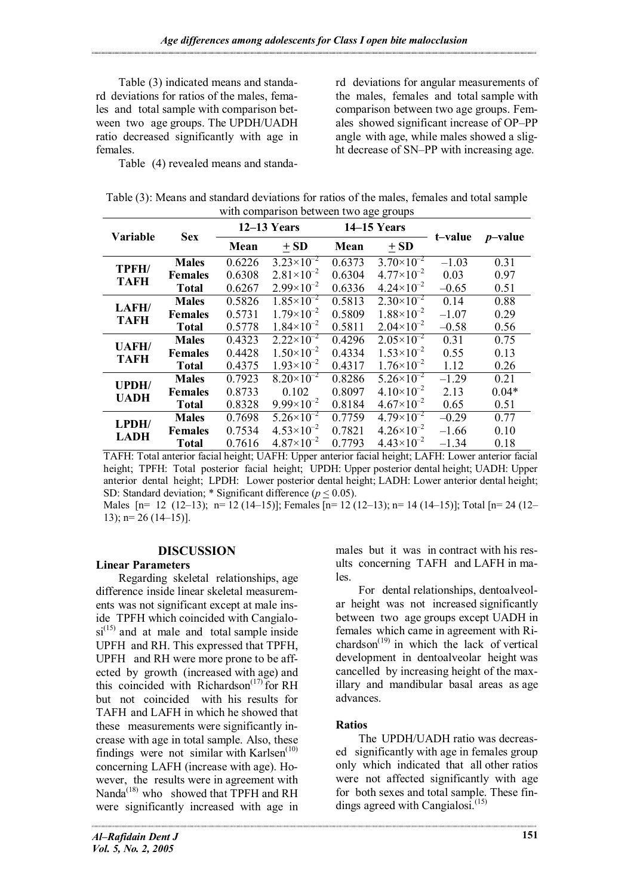Table (3) indicated means and standard deviations for ratios of the males, females and total sample with comparison between two age groups. The UPDH/UADH ratio decreased significantly with age in females.

rd deviations for angular measurements of the males, females and total sample with comparison between two age groups. Females showed significant increase of OP–PP angle with age, while males showed a slight decrease of SN–PP with increasing age.

Table (4) revealed means and standa-

| Table (3): Means and standard deviations for ratios of the males, females and total sample |
|--------------------------------------------------------------------------------------------|
| with comparison between two age groups                                                     |

| <b>Variable</b>            | <b>Sex</b>     | $12-13$ Years |                       | 14-15 Years |                       |         |            |
|----------------------------|----------------|---------------|-----------------------|-------------|-----------------------|---------|------------|
|                            |                | Mean          | $\pm SD$              | Mean        | $\pm$ SD              | t-value | $p$ -value |
| TPFH/                      | <b>Males</b>   | 0.6226        | $3.23\times10^{-2}$   | 0.6373      | $3.70\times10^{-2}$   | $-1.03$ | 0.31       |
| <b>TAFH</b>                | <b>Females</b> | 0.6308        | $2.81\times10^{-2}$   | 0.6304      | $4.77\times10^{-2}$   | 0.03    | 0.97       |
|                            | <b>Total</b>   | 0.6267        | $2.99\times10^{-2}$   | 0.6336      | $4.24 \times 10^{-2}$ | $-0.65$ | 0.51       |
| LAFH/<br><b>TAFH</b>       | <b>Males</b>   | 0.5826        | $1.85\times10^{-2}$   | 0.5813      | $2.30 \times 10^{-2}$ | 0.14    | 0.88       |
|                            | <b>Females</b> | 0.5731        | $1.79\times10^{-2}$   | 0.5809      | $1.88\times10^{-2}$   | $-1.07$ | 0.29       |
|                            | <b>Total</b>   | 0.5778        | $1.84\times10^{-2}$   | 0.5811      | $2.04\times10^{-2}$   | $-0.58$ | 0.56       |
| <b>UAFH/</b>               | <b>Males</b>   | 0.4323        | $2.22\times10^{-2}$   | 0.4296      | $2.05 \times 10^{-2}$ | 0.31    | 0.75       |
| <b>TAFH</b>                | <b>Females</b> | 0.4428        | $1.50\times10^{-2}$   | 0.4334      | $1.53\times10^{-2}$   | 0.55    | 0.13       |
|                            | <b>Total</b>   | 0.4375        | $1.93\times10^{-2}$   | 0.4317      | $1.76 \times 10^{-2}$ | 1.12    | 0.26       |
| UPDH/                      | <b>Males</b>   | 0.7923        | $8.20\times10^{-2}$   | 0.8286      | $5.26 \times 10^{-2}$ | $-1.29$ | 0.21       |
| <b>UADH</b>                | <b>Females</b> | 0.8733        | 0.102                 | 0.8097      | $4.10\times10^{-2}$   | 2.13    | $0.04*$    |
|                            | <b>Total</b>   | 0.8328        | $9.99\times10^{-2}$   | 0.8184      | $4.67\times10^{-2}$   | 0.65    | 0.51       |
| $L$ PDH $/$<br><b>LADH</b> | <b>Males</b>   | 0.7698        | $5.26 \times 10^{-2}$ | 0.7759      | $4.79\times10^{-2}$   | $-0.29$ | 0.77       |
|                            | <b>Females</b> | 0.7534        | $4.53\times10^{-2}$   | 0.7821      | $4.26 \times 10^{-2}$ | $-1.66$ | 0.10       |
|                            | <b>Total</b>   | 0.7616        | $4.87\times10^{-2}$   | 0.7793      | $4.43\times10^{-2}$   | $-1.34$ | 0.18       |

TAFH: Total anterior facial height; UAFH: Upper anterior facial height; LAFH: Lower anterior facial height; TPFH: Total posterior facial height; UPDH: Upper posterior dental height; UADH: Upper anterior dental height; LPDH: Lower posterior dental height; LADH: Lower anterior dental height; SD: Standard deviation; \* Significant difference ( $p \le 0.05$ ).

Males  $[n= 12 (12-13); n= 12 (14-15)]$ ; Females  $[n= 12 (12-13); n= 14 (14-15)]$ ; Total  $[n= 24 (12-13)]$ 13);  $n= 26$  (14-15)].

## **DISCUSSION**

### **Linear Parameters**

Regarding skeletal relationships, age difference inside linear skeletal measurements was not significant except at male inside TPFH which coincided with Cangialo $si^{(15)}$  and at male and total sample inside UPFH and RH. This expressed that TPFH, UPFH and RH were more prone to be affected by growth (increased with age) and this coincided with Richardson<sup> $(17)$ </sup> for RH but not coincided with his results for TAFH and LAFH in which he showed that these measurements were significantly increase with age in total sample. Also, these findings were not similar with Karlsen $<sup>(10)</sup>$ </sup> concerning LAFH (increase with age). However, the results were in agreement with Nanda<sup>(18)</sup> who showed that TPFH and RH were significantly increased with age in males but it was in contract with his results concerning TAFH and LAFH in males.

For dental relationships, dentoalveolar height was not increased significantly between two age groups except UADH in females which came in agreement with Richardson<sup> $(19)$ </sup> in which the lack of vertical development in dentoalveolar height was cancelled by increasing height of the maxillary and mandibular basal areas as age advances.

## **Ratios**

The UPDH/UADH ratio was decreased significantly with age in females group only which indicated that all other ratios were not affected significantly with age for both sexes and total sample. These findings agreed with Cangialosi.<sup>(15)</sup>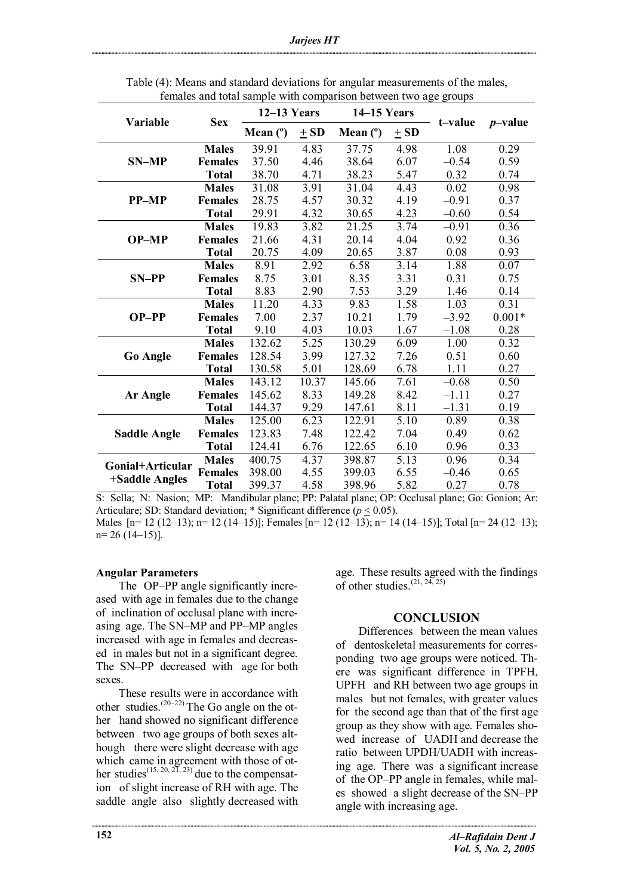|                     | <b>Sex</b>     | $12-13$ Years |                   | 14-15 Years |          |         |            |
|---------------------|----------------|---------------|-------------------|-------------|----------|---------|------------|
| <b>Variable</b>     |                | Mean $(°)$    | $\pm$ SD          | Mean $(°)$  | $\pm$ SD | t-value | $p$ -value |
|                     | <b>Males</b>   | 39.91         | 4.83              | 37.75       | 4.98     | 1.08    | 0.29       |
| <b>SN-MP</b>        | <b>Females</b> | 37.50         | 4.46              | 38.64       | 6.07     | $-0.54$ | 0.59       |
|                     | <b>Total</b>   | 38.70         | 4.71              | 38.23       | 5.47     | 0.32    | 0.74       |
|                     | <b>Males</b>   | 31.08         | 3.91              | 31.04       | 4.43     | 0.02    | 0.98       |
| <b>PP-MP</b>        | <b>Females</b> | 28.75         | 4.57              | 30.32       | 4.19     | $-0.91$ | 0.37       |
|                     | <b>Total</b>   | 29.91         | 4.32              | 30.65       | 4.23     | $-0.60$ | 0.54       |
|                     | <b>Males</b>   | 19.83         | 3.82              | 21.25       | 3.74     | $-0.91$ | 0.36       |
| <b>OP-MP</b>        | <b>Females</b> | 21.66         | 4.31              | 20.14       | 4.04     | 0.92    | 0.36       |
|                     | <b>Total</b>   | 20.75         | 4.09              | 20.65       | 3.87     | 0.08    | 0.93       |
|                     | <b>Males</b>   | 8.91          | 2.92              | 6.58        | 3.14     | 1.88    | 0.07       |
| $SN-PP$             | <b>Females</b> | 8.75          | 3.01              | 8.35        | 3.31     | 0.31    | 0.75       |
|                     | <b>Total</b>   | 8.83          | 2.90              | 7.53        | 3.29     | 1.46    | 0.14       |
|                     | <b>Males</b>   | 11.20         | 4.33              | 9.83        | 1.58     | 1.03    | 0.31       |
| OP-PP               | <b>Females</b> | 7.00          | 2.37              | 10.21       | 1.79     | $-3.92$ | $0.001*$   |
|                     | <b>Total</b>   | 9.10          | 4.03              | 10.03       | 1.67     | $-1.08$ | 0.28       |
|                     | <b>Males</b>   | 132.62        | $\overline{5.25}$ | 130.29      | 6.09     | 1.00    | 0.32       |
| <b>Go Angle</b>     | <b>Females</b> | 128.54        | 3.99              | 127.32      | 7.26     | 0.51    | 0.60       |
|                     | <b>Total</b>   | 130.58        | 5.01              | 128.69      | 6.78     | 1.11    | 0.27       |
|                     | <b>Males</b>   | 143.12        | 10.37             | 145.66      | 7.61     | $-0.68$ | 0.50       |
| Ar Angle            | <b>Females</b> | 145.62        | 8.33              | 149.28      | 8.42     | $-1.11$ | 0.27       |
|                     | <b>Total</b>   | 144.37        | 9.29              | 147.61      | 8.11     | $-1.31$ | 0.19       |
|                     | <b>Males</b>   | 125.00        | 6.23              | 122.91      | 5.10     | 0.89    | 0.38       |
| <b>Saddle Angle</b> | <b>Females</b> | 123.83        | 7.48              | 122.42      | 7.04     | 0.49    | 0.62       |
|                     | <b>Total</b>   | 124.41        | 6.76              | 122.65      | 6.10     | 0.96    | 0.33       |
| Gonial+Articular    | <b>Males</b>   | 400.75        | 4.37              | 398.87      | 5.13     | 0.96    | 0.34       |
|                     | <b>Females</b> | 398.00        | 4.55              | 399.03      | 6.55     | $-0.46$ | 0.65       |
| +Saddle Angles      | <b>Total</b>   | 399.37        | 4.58              | 398.96      | 5.82     | 0.27    | 0.78       |

Table (4): Means and standard deviations for angular measurements of the males, females and total sample with comparison between two age groups

S: Sella; N: Nasion; MP: Mandibular plane; PP: Palatal plane; OP: Occlusal plane; Go: Gonion; Ar: Articulare; SD: Standard deviation; \* Significant difference (*p* < 0.05).

Males  $[n= 12 (12-13); n= 12 (14-15)]$ ; Females  $[n= 12 (12-13); n= 14 (14-15)]$ ; Total  $[n= 24 (12-13);$ n= 26 (14–15)].

### **Angular Parameters**

The OP–PP angle significantly increased with age in females due to the change of inclination of occlusal plane with increasing age. The SN–MP and PP–MP angles increased with age in females and decreased in males but not in a significant degree. The SN–PP decreased with age for both sexes.

These results were in accordance with other studies.(20–22) The Go angle on the other hand showed no significant difference between two age groups of both sexes although there were slight decrease with age which came in agreement with those of other studies<sup>(15, 20, 21, 23)</sup> due to the compensation of slight increase of RH with age. The saddle angle also slightly decreased with

age. These results agreed with the findings of other studies.<sup> $(21, 24, 25)$ </sup>

### **CONCLUSION**

Differences between the mean values of dentoskeletal measurements for corresponding two age groups were noticed. There was significant difference in TPFH, UPFH and RH between two age groups in males but not females, with greater values for the second age than that of the first age group as they show with age. Females showed increase of UADH and decrease the ratio between UPDH/UADH with increasing age. There was a significant increase of the OP–PP angle in females, while males showed a slight decrease of the SN–PP angle with increasing age.